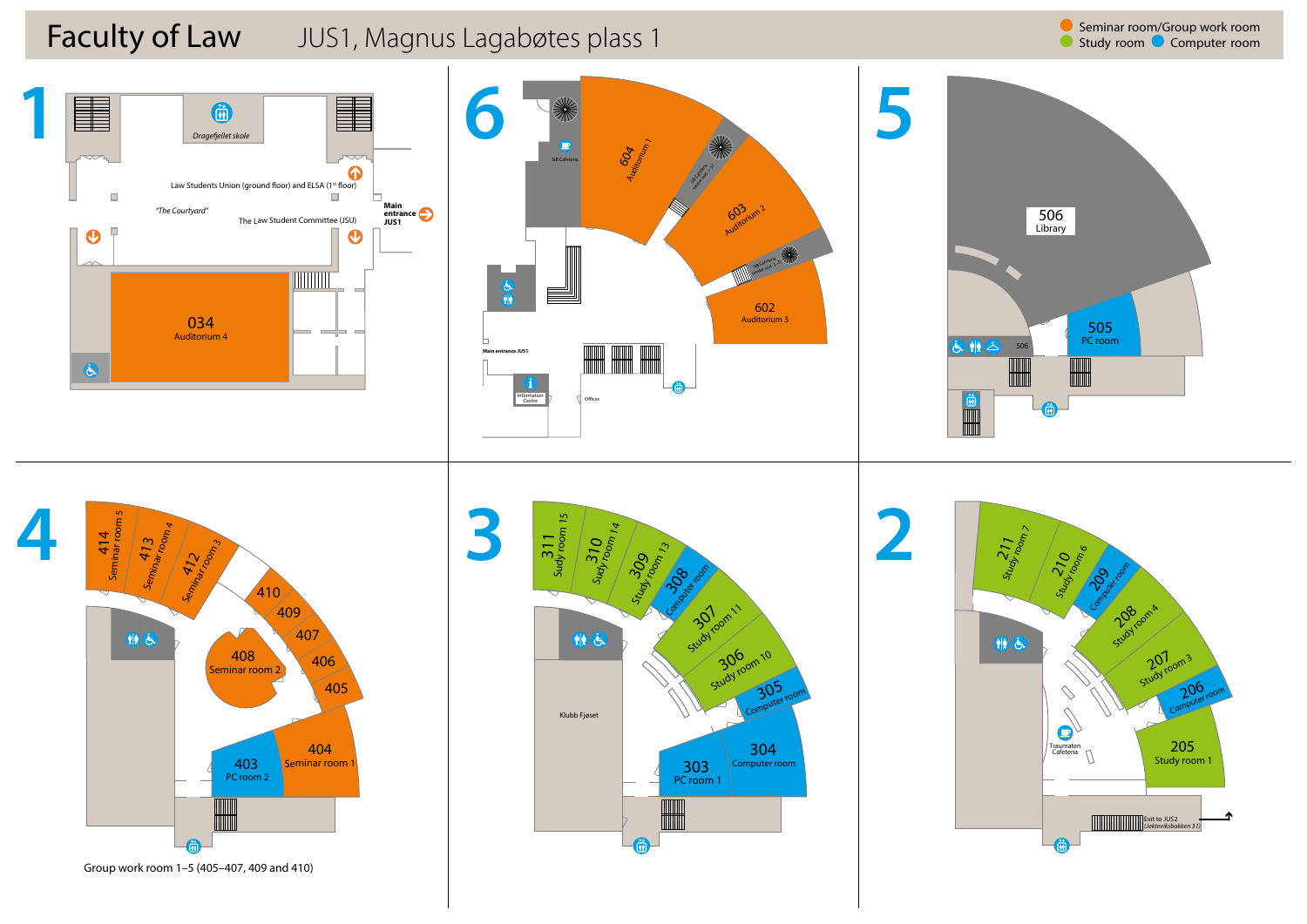

**3U** room 305

Study room 10

study room 1  $3<sup>2</sup>$ 



Klubb Fjøset

帕氏

Computer room 304

PC room 1 303

Group work room 1–5 (405–407, 409 and 410)